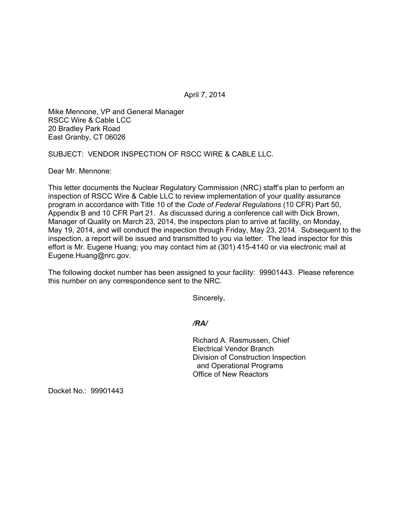April 7, 2014

Mike Mennone, VP and General Manager RSCC Wire & Cable LCC 20 Bradley Park Road East Granby, CT 06026

SUBJECT: VENDOR INSPECTION OF RSCC WIRE & CABLE LLC.

Dear Mr. Mennone:

This letter documents the Nuclear Regulatory Commission (NRC) staff's plan to perform an inspection of RSCC Wire & Cable LLC to review implementation of your quality assurance program in accordance with Title 10 of the *Code of Federal Regulations* (10 CFR) Part 50, Appendix B and 10 CFR Part 21. As discussed during a conference call with Dick Brown, Manager of Quality on March 23, 2014, the inspectors plan to arrive at facility, on Monday, May 19, 2014, and will conduct the inspection through Friday, May 23, 2014. Subsequent to the inspection, a report will be issued and transmitted to you via letter. The lead inspector for this effort is Mr. Eugene Huang; you may contact him at (301) 415-4140 or via electronic mail at Eugene.Huang@nrc.gov.

The following docket number has been assigned to your facility: 99901443. Please reference this number on any correspondence sent to the NRC.

Sincerely,

*/RA/* 

Richard A. Rasmussen, Chief Electrical Vendor Branch Division of Construction Inspection and Operational Programs Office of New Reactors

Docket No.: 99901443